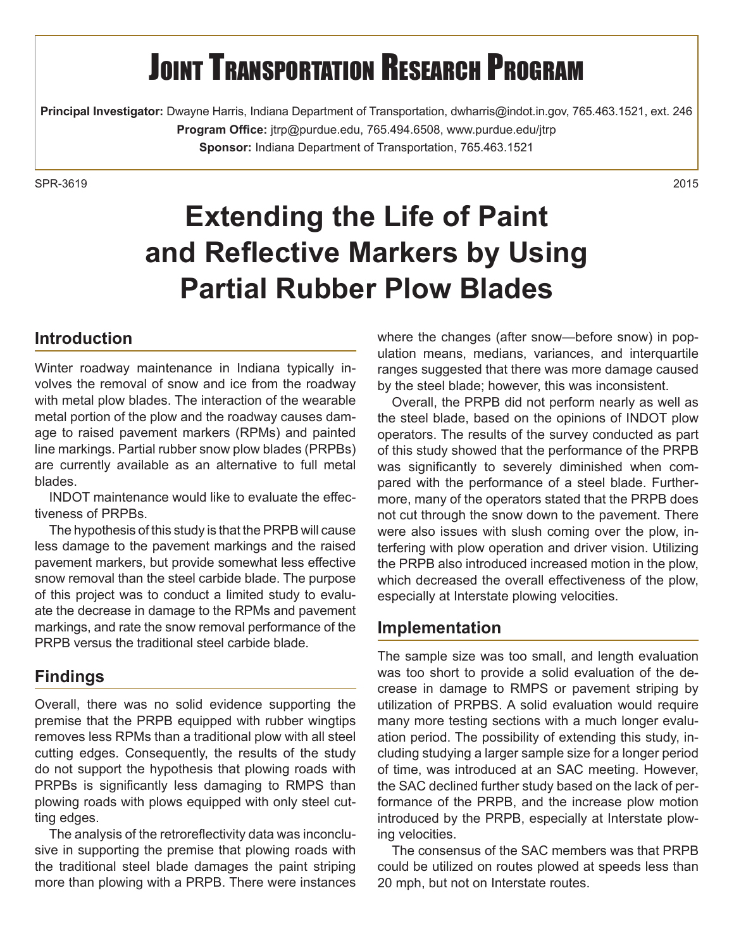# **JOINT TRANSPORTATION RESEARCH PROGRAM**

**Principal Investigator:** Dwayne Harris, Indiana Department of Transportation, dwharris@indot.in.gov, 765.463.1521, ext. 246 **Program Office:** jtrp@purdue.edu, 765.494.6508, www.purdue.edu/jtrp **Sponsor:** Indiana Department of Transportation, 765.463.1521

SPR-36192015

## **Extending the Life of Paint and Reflective Markers by Using Partial Rubber Plow Blades**

#### **Introduction**

Winter roadway maintenance in Indiana typically involves the removal of snow and ice from the roadway with metal plow blades. The interaction of the wearable metal portion of the plow and the roadway causes damage to raised pavement markers (RPMs) and painted line markings. Partial rubber snow plow blades (PRPBs) are currently available as an alternative to full metal blades.

INDOT maintenance would like to evaluate the effectiveness of PRPBs.

The hypothesis of this study is that the PRPB will cause less damage to the pavement markings and the raised pavement markers, but provide somewhat less effective snow removal than the steel carbide blade. The purpose of this project was to conduct a limited study to evaluate the decrease in damage to the RPMs and pavement markings, and rate the snow removal performance of the PRPB versus the traditional steel carbide blade.

#### **Findings**

Overall, there was no solid evidence supporting the premise that the PRPB equipped with rubber wingtips removes less RPMs than a traditional plow with all steel cutting edges. Consequently, the results of the study do not support the hypothesis that plowing roads with PRPBs is significantly less damaging to RMPS than plowing roads with plows equipped with only steel cutting edges.

The analysis of the retroreflectivity data was inconclusive in supporting the premise that plowing roads with the traditional steel blade damages the paint striping more than plowing with a PRPB. There were instances where the changes (after snow—before snow) in population means, medians, variances, and interquartile ranges suggested that there was more damage caused by the steel blade; however, this was inconsistent.

Overall, the PRPB did not perform nearly as well as the steel blade, based on the opinions of INDOT plow operators. The results of the survey conducted as part of this study showed that the performance of the PRPB was significantly to severely diminished when compared with the performance of a steel blade. Furthermore, many of the operators stated that the PRPB does not cut through the snow down to the pavement. There were also issues with slush coming over the plow, interfering with plow operation and driver vision. Utilizing the PRPB also introduced increased motion in the plow, which decreased the overall effectiveness of the plow, especially at Interstate plowing velocities.

#### **Implementation**

The sample size was too small, and length evaluation was too short to provide a solid evaluation of the decrease in damage to RMPS or pavement striping by utilization of PRPBS. A solid evaluation would require many more testing sections with a much longer evaluation period. The possibility of extending this study, including studying a larger sample size for a longer period of time, was introduced at an SAC meeting. However, the SAC declined further study based on the lack of performance of the PRPB, and the increase plow motion introduced by the PRPB, especially at Interstate plowing velocities.

The consensus of the SAC members was that PRPB could be utilized on routes plowed at speeds less than 20 mph, but not on Interstate routes.